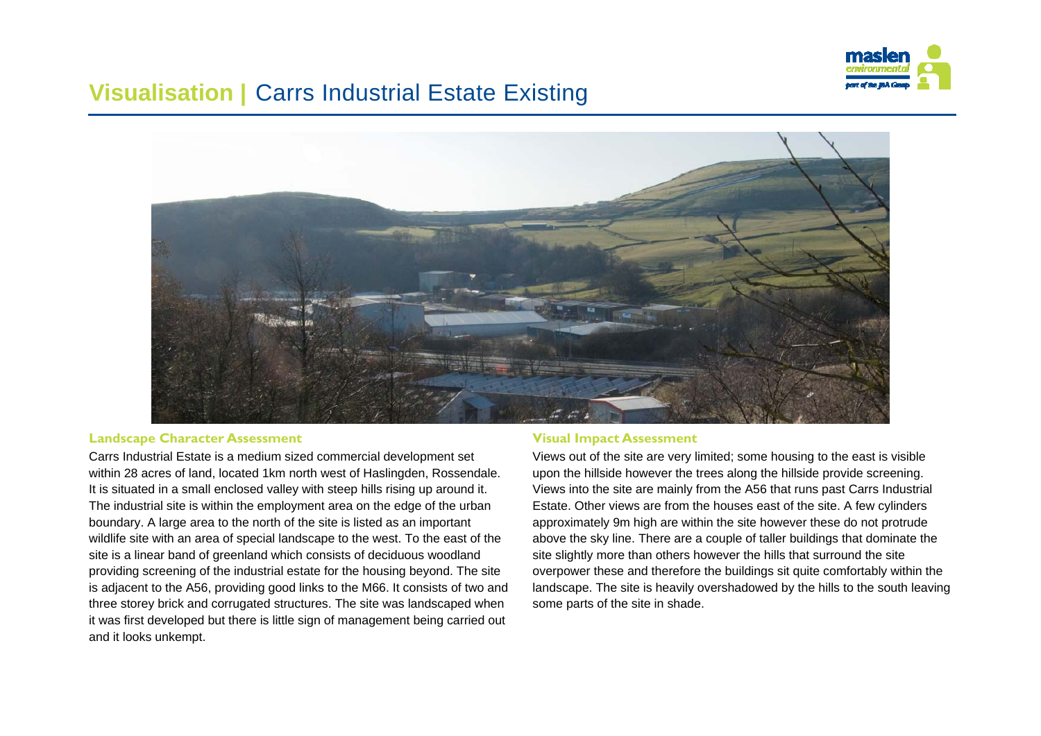

## **Visualisation | Carrs Industrial Estate Existing**



#### **Landscape Character Assessment**

Carrs Industrial Estate is a medium sized commercial development set within 28 acres of land, located 1km north west of Haslingden, Rossendale. It is situated in a small enclosed valley with steep hills rising up around it. The industrial site is within the employment area on the edge of the urban boundary. A large area to the north of the site is listed as an important wildlife site with an area of special landscape to the west. To the east of the site is a linear band of greenland which consists of deciduous woodland providing screening of the industrial estate for the housing beyond. The site is adjacent to the A56, providing good links to the M66. It consists of two and three storey brick and corrugated structures. The site was landscaped when it was first developed but there is little sign of management being carried out and it looks unkempt.

#### **Visual Impact Assessment**

Views out of the site are very limited; some housing to the east is visible upon the hillside however the trees along the hillside provide screening. Views into the site are mainly from the A56 that runs past Carrs Industrial Estate. Other views are from the houses east of the site. A few cylinders approximately 9m high are within the site however these do not protrude above the sky line. There are a couple of taller buildings that dominate the site slightly more than others however the hills that surround the site overpower these and therefore the buildings sit quite comfortably within the landscape. The site is heavily overshadowed by the hills to the south leaving some parts of the site in shade.